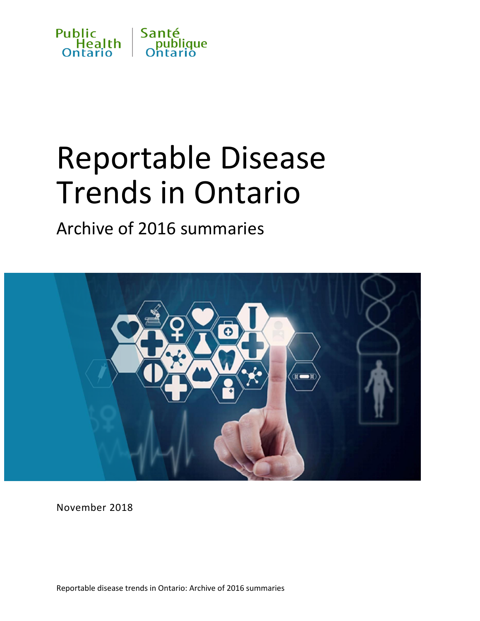

# Reportable Disease Trends in Ontario

# Archive of 2016 summaries



November 2018

Reportable disease trends in Ontario: Archive of 2016 summaries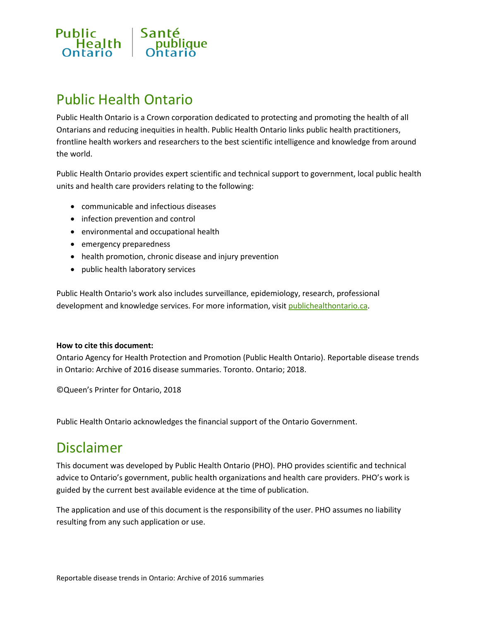

# Public Health Ontario

Public Health Ontario is a Crown corporation dedicated to protecting and promoting the health of all Ontarians and reducing inequities in health. Public Health Ontario links public health practitioners, frontline health workers and researchers to the best scientific intelligence and knowledge from around the world.

Public Health Ontario provides expert scientific and technical support to government, local public health units and health care providers relating to the following:

- communicable and infectious diseases
- infection prevention and control
- environmental and occupational health
- emergency preparedness
- health promotion, chronic disease and injury prevention
- public health laboratory services

Public Health Ontario's work also includes surveillance, epidemiology, research, professional development and knowledge services. For more information, visit [publichealthontario.ca.](http://www.publichealthontario.ca/)

#### **How to cite this document:**

Ontario Agency for Health Protection and Promotion (Public Health Ontario). Reportable disease trends in Ontario: Archive of 2016 disease summaries. Toronto. Ontario; 2018.

©Queen's Printer for Ontario, 2018

Public Health Ontario acknowledges the financial support of the Ontario Government.

### Disclaimer

This document was developed by Public Health Ontario (PHO). PHO provides scientific and technical advice to Ontario's government, public health organizations and health care providers. PHO's work is guided by the current best available evidence at the time of publication.

The application and use of this document is the responsibility of the user. PHO assumes no liability resulting from any such application or use.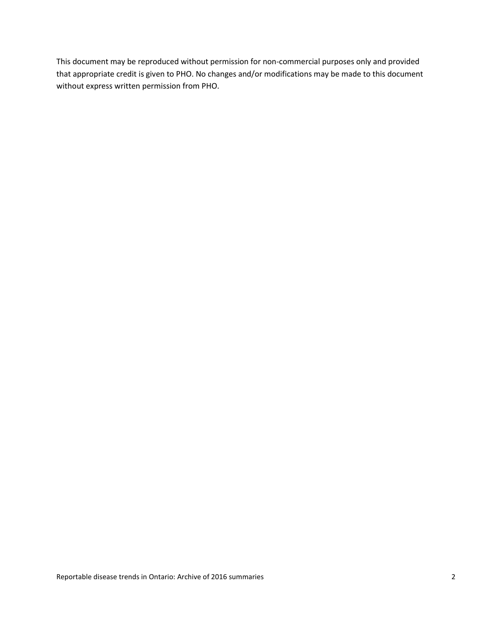This document may be reproduced without permission for non-commercial purposes only and provided that appropriate credit is given to PHO. No changes and/or modifications may be made to this document without express written permission from PHO.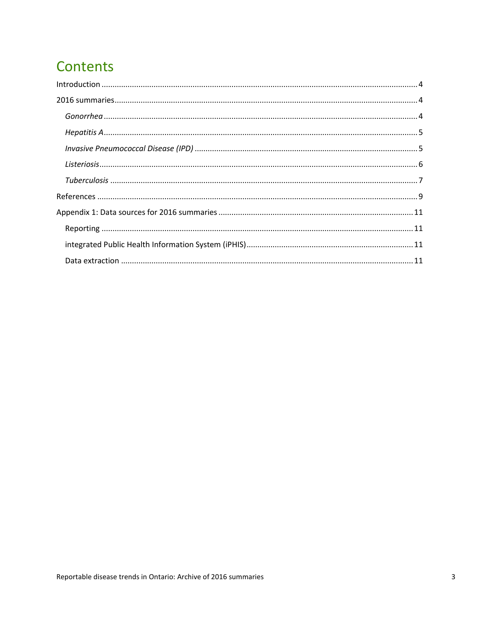# **Contents**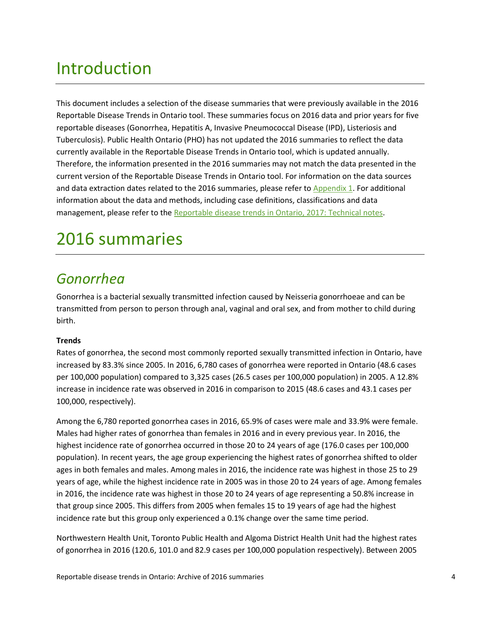# <span id="page-4-0"></span>Introduction

This document includes a selection of the disease summaries that were previously available in the 2016 Reportable Disease Trends in Ontario tool. These summaries focus on 2016 data and prior years for five reportable diseases (Gonorrhea, Hepatitis A, Invasive Pneumococcal Disease (IPD), Listeriosis and Tuberculosis). Public Health Ontario (PHO) has not updated the 2016 summaries to reflect the data currently available in the Reportable Disease Trends in Ontario tool, which is updated annually. Therefore, the information presented in the 2016 summaries may not match the data presented in the current version of the Reportable Disease Trends in Ontario tool. For information on the data sources and data extraction dates related to the 2016 summaries, please refer t[o Appendix 1.](#page-11-0) For additional information about the data and methods, including case definitions, classifications and data management, please refer to the Reportable [disease trends in Ontario, 2017: Technical notes.](https://www.pho-dev.ca/en/DataAndAnalytics/Documents/interactiveData/RDTO/RDTO%202017%20Technical%20Notes_FINAL.pdf)

# <span id="page-4-1"></span>2016 summaries

### <span id="page-4-2"></span>*Gonorrhea*

Gonorrhea is a bacterial sexually transmitted infection caused by Neisseria gonorrhoeae and can be transmitted from person to person through anal, vaginal and oral sex, and from mother to child during birth.

#### **Trends**

Rates of gonorrhea, the second most commonly reported sexually transmitted infection in Ontario, have increased by 83.3% since 2005. In 2016, 6,780 cases of gonorrhea were reported in Ontario (48.6 cases per 100,000 population) compared to 3,325 cases (26.5 cases per 100,000 population) in 2005. A 12.8% increase in incidence rate was observed in 2016 in comparison to 2015 (48.6 cases and 43.1 cases per 100,000, respectively).

Among the 6,780 reported gonorrhea cases in 2016, 65.9% of cases were male and 33.9% were female. Males had higher rates of gonorrhea than females in 2016 and in every previous year. In 2016, the highest incidence rate of gonorrhea occurred in those 20 to 24 years of age (176.0 cases per 100,000 population). In recent years, the age group experiencing the highest rates of gonorrhea shifted to older ages in both females and males. Among males in 2016, the incidence rate was highest in those 25 to 29 years of age, while the highest incidence rate in 2005 was in those 20 to 24 years of age. Among females in 2016, the incidence rate was highest in those 20 to 24 years of age representing a 50.8% increase in that group since 2005. This differs from 2005 when females 15 to 19 years of age had the highest incidence rate but this group only experienced a 0.1% change over the same time period.

Northwestern Health Unit, Toronto Public Health and Algoma District Health Unit had the highest rates of gonorrhea in 2016 (120.6, 101.0 and 82.9 cases per 100,000 population respectively). Between 2005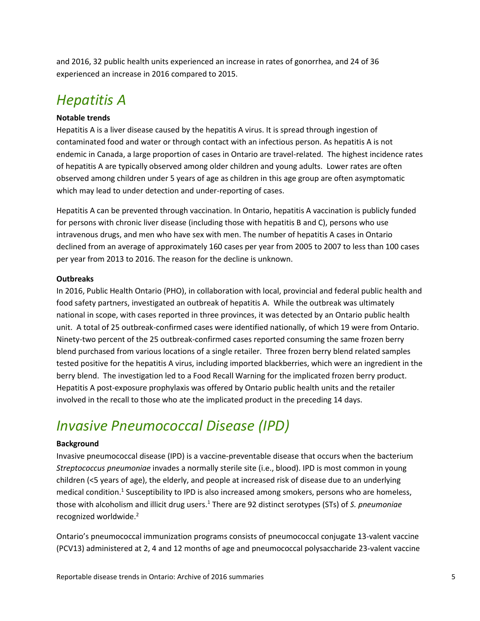and 2016, 32 public health units experienced an increase in rates of gonorrhea, and 24 of 36 experienced an increase in 2016 compared to 2015.

### <span id="page-5-0"></span>*Hepatitis A*

#### **Notable trends**

Hepatitis A is a liver disease caused by the hepatitis A virus. It is spread through ingestion of contaminated food and water or through contact with an infectious person. As hepatitis A is not endemic in Canada, a large proportion of cases in Ontario are travel-related. The highest incidence rates of hepatitis A are typically observed among older children and young adults. Lower rates are often observed among children under 5 years of age as children in this age group are often asymptomatic which may lead to under detection and under-reporting of cases.

Hepatitis A can be prevented through vaccination. In Ontario, hepatitis A vaccination is publicly funded for persons with chronic liver disease (including those with hepatitis B and C), persons who use intravenous drugs, and men who have sex with men. The number of hepatitis A cases in Ontario declined from an average of approximately 160 cases per year from 2005 to 2007 to less than 100 cases per year from 2013 to 2016. The reason for the decline is unknown.

#### **Outbreaks**

In 2016, Public Health Ontario (PHO), in collaboration with local, provincial and federal public health and food safety partners, investigated an outbreak of hepatitis A. While the outbreak was ultimately national in scope, with cases reported in three provinces, it was detected by an Ontario public health unit. A total of 25 outbreak-confirmed cases were identified nationally, of which 19 were from Ontario. Ninety-two percent of the 25 outbreak-confirmed cases reported consuming the same frozen berry blend purchased from various locations of a single retailer. Three frozen berry blend related samples tested positive for the hepatitis A virus, including imported blackberries, which were an ingredient in the berry blend. The investigation led to a Food Recall Warning for the implicated frozen berry product. Hepatitis A post-exposure prophylaxis was offered by Ontario public health units and the retailer involved in the recall to those who ate the implicated product in the preceding 14 days.

### <span id="page-5-1"></span>*Invasive Pneumococcal Disease (IPD)*

#### **Background**

Invasive pneumococcal disease (IPD) is a vaccine-preventable disease that occurs when the bacterium *Streptococcus pneumoniae* invades a normally sterile site (i.e., blood). IPD is most common in young children (<5 years of age), the elderly, and people at increased risk of disease due to an underlying medical condition.<sup>1</sup> Susceptibility to IPD is also increased among smokers, persons who are homeless, those with alcoholism and illicit drug users. <sup>1</sup> There are 92 distinct serotypes (STs) of *S. pneumoniae* recognized worldwide.<sup>2</sup>

Ontario's pneumococcal immunization programs consists of pneumococcal conjugate 13-valent vaccine (PCV13) administered at 2, 4 and 12 months of age and pneumococcal polysaccharide 23-valent vaccine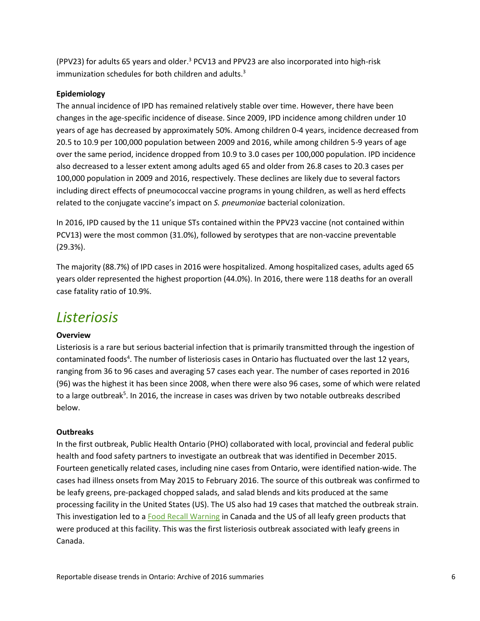(PPV23) for adults 65 years and older.<sup>3</sup> PCV13 and PPV23 are also incorporated into high-risk immunization schedules for both children and adults.<sup>3</sup>

#### **Epidemiology**

The annual incidence of IPD has remained relatively stable over time. However, there have been changes in the age-specific incidence of disease. Since 2009, IPD incidence among children under 10 years of age has decreased by approximately 50%. Among children 0-4 years, incidence decreased from 20.5 to 10.9 per 100,000 population between 2009 and 2016, while among children 5-9 years of age over the same period, incidence dropped from 10.9 to 3.0 cases per 100,000 population. IPD incidence also decreased to a lesser extent among adults aged 65 and older from 26.8 cases to 20.3 cases per 100,000 population in 2009 and 2016, respectively. These declines are likely due to several factors including direct effects of pneumococcal vaccine programs in young children, as well as herd effects related to the conjugate vaccine's impact on *S. pneumoniae* bacterial colonization.

In 2016, IPD caused by the 11 unique STs contained within the PPV23 vaccine (not contained within PCV13) were the most common (31.0%), followed by serotypes that are non-vaccine preventable (29.3%).

The majority (88.7%) of IPD cases in 2016 were hospitalized. Among hospitalized cases, adults aged 65 years older represented the highest proportion (44.0%). In 2016, there were 118 deaths for an overall case fatality ratio of 10.9%.

### <span id="page-6-0"></span>*Listeriosis*

#### **Overview**

Listeriosis is a rare but serious bacterial infection that is primarily transmitted through the ingestion of contaminated foods<sup>4</sup>. The number of listeriosis cases in Ontario has fluctuated over the last 12 years, ranging from 36 to 96 cases and averaging 57 cases each year. The number of cases reported in 2016 (96) was the highest it has been since 2008, when there were also 96 cases, some of which were related to a large outbreak<sup>5</sup>. In 2016, the increase in cases was driven by two notable outbreaks described below.

#### **Outbreaks**

In the first outbreak, Public Health Ontario (PHO) collaborated with local, provincial and federal public health and food safety partners to investigate an outbreak that was identified in December 2015. Fourteen genetically related cases, including nine cases from Ontario, were identified nation-wide. The cases had illness onsets from May 2015 to February 2016. The source of this outbreak was confirmed to be leafy greens, pre-packaged chopped salads, and salad blends and kits produced at the same processing facility in the United States (US). The US also had 19 cases that matched the outbreak strain. This investigation led to [a Food Recall Warning](http://www.inspection.gc.ca/about-the-cfia/newsroom/food-recall-warnings/complete-listing/2016-01-22c/eng/1453522915084/1453522920123) in Canada and the US of all leafy green products that were produced at this facility. This was the first listeriosis outbreak associated with leafy greens in Canada.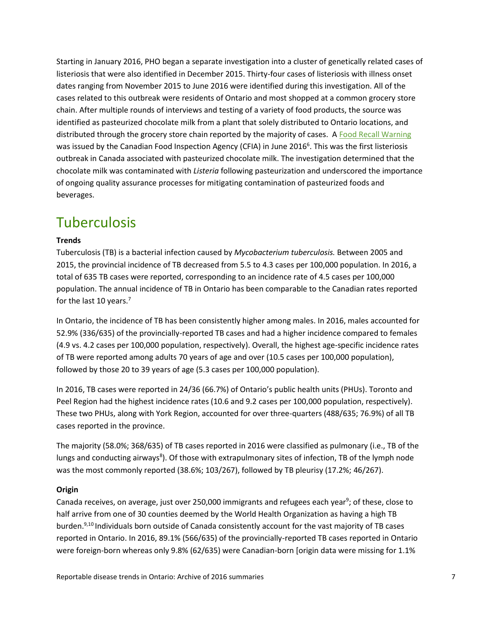Starting in January 2016, PHO began a separate investigation into a cluster of genetically related cases of listeriosis that were also identified in December 2015. Thirty-four cases of listeriosis with illness onset dates ranging from November 2015 to June 2016 were identified during this investigation. All of the cases related to this outbreak were residents of Ontario and most shopped at a common grocery store chain. After multiple rounds of interviews and testing of a variety of food products, the source was identified as pasteurized chocolate milk from a plant that solely distributed to Ontario locations, and distributed through the grocery store chain reported by the majority of cases. [A Food Recall Warning](http://www.inspection.gc.ca/about-the-cfia/newsroom/food-recall-warnings/complete-listing/2016-06-05b/eng/1465171011098/1465171013904) was issued by the Canadian Food Inspection Agency (CFIA) in June 2016<sup>6</sup>. This was the first listeriosis outbreak in Canada associated with pasteurized chocolate milk. The investigation determined that the chocolate milk was contaminated with *Listeria* following pasteurization and underscored the importance of ongoing quality assurance processes for mitigating contamination of pasteurized foods and beverages.

# <span id="page-7-0"></span>**Tuberculosis**

#### **Trends**

Tuberculosis (TB) is a bacterial infection caused by *Mycobacterium tuberculosis.* Between 2005 and 2015, the provincial incidence of TB decreased from 5.5 to 4.3 cases per 100,000 population. In 2016, a total of 635 TB cases were reported, corresponding to an incidence rate of 4.5 cases per 100,000 population. The annual incidence of TB in Ontario has been comparable to the Canadian rates reported for the last 10 years.<sup>7</sup>

In Ontario, the incidence of TB has been consistently higher among males. In 2016, males accounted for 52.9% (336/635) of the provincially-reported TB cases and had a higher incidence compared to females (4.9 vs. 4.2 cases per 100,000 population, respectively). Overall, the highest age-specific incidence rates of TB were reported among adults 70 years of age and over (10.5 cases per 100,000 population), followed by those 20 to 39 years of age (5.3 cases per 100,000 population).

In 2016, TB cases were reported in 24/36 (66.7%) of Ontario's public health units (PHUs). Toronto and Peel Region had the highest incidence rates (10.6 and 9.2 cases per 100,000 population, respectively). These two PHUs, along with York Region, accounted for over three-quarters (488/635; 76.9%) of all TB cases reported in the province.

The majority (58.0%; 368/635) of TB cases reported in 2016 were classified as pulmonary (i.e., TB of the lungs and conducting airways<sup>8</sup>). Of those with extrapulmonary sites of infection, TB of the lymph node was the most commonly reported (38.6%; 103/267), followed by TB pleurisy (17.2%; 46/267).

#### **Origin**

Canada receives, on average, just over 250,000 immigrants and refugees each year<sup>9</sup>; of these, close to half arrive from one of 30 counties deemed by the World Health Organization as having a high TB burden.<sup>9,10</sup> Individuals born outside of Canada consistently account for the vast majority of TB cases reported in Ontario. In 2016, 89.1% (566/635) of the provincially-reported TB cases reported in Ontario were foreign-born whereas only 9.8% (62/635) were Canadian-born [origin data were missing for 1.1%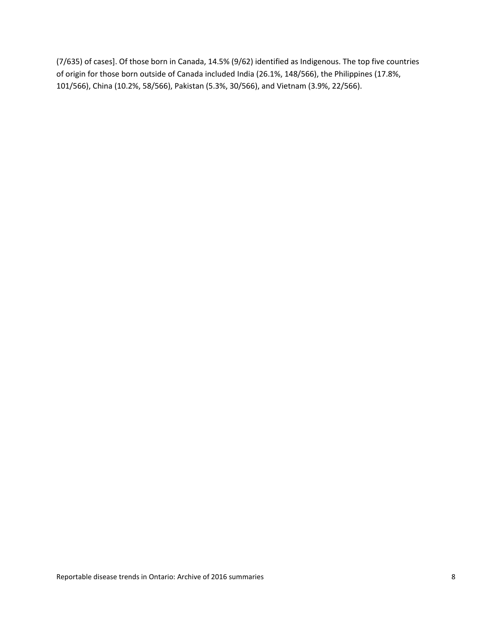(7/635) of cases]. Of those born in Canada, 14.5% (9/62) identified as Indigenous. The top five countries of origin for those born outside of Canada included India (26.1%, 148/566), the Philippines (17.8%, 101/566), China (10.2%, 58/566), Pakistan (5.3%, 30/566), and Vietnam (3.9%, 22/566).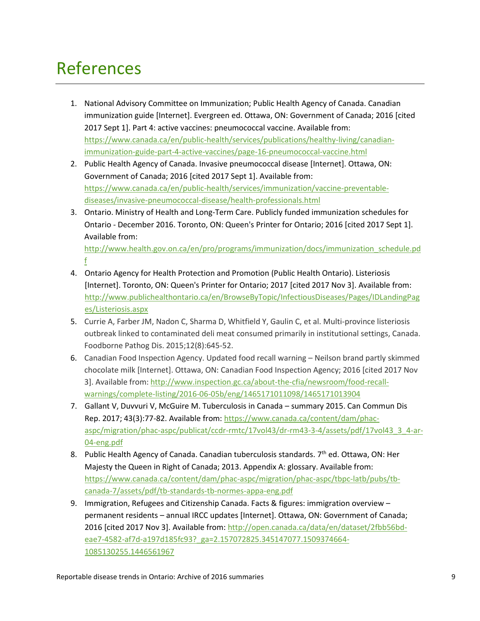# <span id="page-9-0"></span>References

- 1. National Advisory Committee on Immunization; Public Health Agency of Canada. Canadian immunization guide [Internet]. Evergreen ed. Ottawa, ON: Government of Canada; 2016 [cited 2017 Sept 1]. Part 4: active vaccines: pneumococcal vaccine. Available from: [https://www.canada.ca/en/public-health/services/publications/healthy-living/canadian](https://www.canada.ca/en/public-health/services/publications/healthy-living/canadian-immunization-guide-part-4-active-vaccines/page-16-pneumococcal-vaccine.html)[immunization-guide-part-4-active-vaccines/page-16-pneumococcal-vaccine.html](https://www.canada.ca/en/public-health/services/publications/healthy-living/canadian-immunization-guide-part-4-active-vaccines/page-16-pneumococcal-vaccine.html)
- 2. Public Health Agency of Canada. Invasive pneumococcal disease [Internet]. Ottawa, ON: Government of Canada; 2016 [cited 2017 Sept 1]. Available from: [https://www.canada.ca/en/public-health/services/immunization/vaccine-preventable](https://www.canada.ca/en/public-health/services/immunization/vaccine-preventable-diseases/invasive-pneumococcal-disease/health-professionals.html)[diseases/invasive-pneumococcal-disease/health-professionals.html](https://www.canada.ca/en/public-health/services/immunization/vaccine-preventable-diseases/invasive-pneumococcal-disease/health-professionals.html)
- 3. Ontario. Ministry of Health and Long-Term Care. Publicly funded immunization schedules for Ontario - December 2016. Toronto, ON: Queen's Printer for Ontario; 2016 [cited 2017 Sept 1]. Available from:

[http://www.health.gov.on.ca/en/pro/programs/immunization/docs/immunization\\_schedule.pd](http://www.health.gov.on.ca/en/pro/programs/immunization/docs/immunization_schedule.pdf) [f](http://www.health.gov.on.ca/en/pro/programs/immunization/docs/immunization_schedule.pdf)

- 4. Ontario Agency for Health Protection and Promotion (Public Health Ontario). Listeriosis [Internet]. Toronto, ON: Queen's Printer for Ontario; 2017 [cited 2017 Nov 3]. Available from: [http://www.publichealthontario.ca/en/BrowseByTopic/InfectiousDiseases/Pages/IDLandingPag](http://www.publichealthontario.ca/en/BrowseByTopic/InfectiousDiseases/Pages/IDLandingPages/Listeriosis.aspx) [es/Listeriosis.aspx](http://www.publichealthontario.ca/en/BrowseByTopic/InfectiousDiseases/Pages/IDLandingPages/Listeriosis.aspx)
- 5. Currie A, Farber JM, Nadon C, Sharma D, Whitfield Y, Gaulin C, et al. Multi-province listeriosis outbreak linked to contaminated deli meat consumed primarily in institutional settings, Canada. Foodborne Pathog Dis. 2015;12(8):645-52.
- 6. Canadian Food Inspection Agency. Updated food recall warning Neilson brand partly skimmed chocolate milk [Internet]. Ottawa, ON: Canadian Food Inspection Agency; 2016 [cited 2017 Nov 3]. Available from: [http://www.inspection.gc.ca/about-the-cfia/newsroom/food-recall](http://www.inspection.gc.ca/about-the-cfia/newsroom/food-recall-warnings/complete-listing/2016-06-05b/eng/1465171011098/1465171013904)[warnings/complete-listing/2016-06-05b/eng/1465171011098/1465171013904](http://www.inspection.gc.ca/about-the-cfia/newsroom/food-recall-warnings/complete-listing/2016-06-05b/eng/1465171011098/1465171013904)
- 7. Gallant V, Duvvuri V, McGuire M. Tuberculosis in Canada summary 2015. Can Commun Dis Rep. 2017; 43(3):77-82. Available from: [https://www.canada.ca/content/dam/phac](https://www.canada.ca/content/dam/phac-aspc/migration/phac-aspc/publicat/ccdr-rmtc/17vol43/dr-rm43-3-4/assets/pdf/17vol43_3_4-ar-04-eng.pdf)[aspc/migration/phac-aspc/publicat/ccdr-rmtc/17vol43/dr-rm43-3-4/assets/pdf/17vol43\\_3\\_4-ar-](https://www.canada.ca/content/dam/phac-aspc/migration/phac-aspc/publicat/ccdr-rmtc/17vol43/dr-rm43-3-4/assets/pdf/17vol43_3_4-ar-04-eng.pdf)[04-eng.pdf](https://www.canada.ca/content/dam/phac-aspc/migration/phac-aspc/publicat/ccdr-rmtc/17vol43/dr-rm43-3-4/assets/pdf/17vol43_3_4-ar-04-eng.pdf)
- 8. Public Health Agency of Canada. Canadian tuberculosis standards. 7<sup>th</sup> ed. Ottawa, ON: Her Majesty the Queen in Right of Canada; 2013. Appendix A: glossary. Available from: [https://www.canada.ca/content/dam/phac-aspc/migration/phac-aspc/tbpc-latb/pubs/tb](https://www.canada.ca/content/dam/phac-aspc/migration/phac-aspc/tbpc-latb/pubs/tb-canada-7/assets/pdf/tb-standards-tb-normes-appa-eng.pdf)[canada-7/assets/pdf/tb-standards-tb-normes-appa-eng.pdf](https://www.canada.ca/content/dam/phac-aspc/migration/phac-aspc/tbpc-latb/pubs/tb-canada-7/assets/pdf/tb-standards-tb-normes-appa-eng.pdf)
- 9. Immigration, Refugees and Citizenship Canada. Facts & figures: immigration overview permanent residents – annual IRCC updates [Internet]. Ottawa, ON: Government of Canada; 2016 [cited 2017 Nov 3]. Available from[: http://open.canada.ca/data/en/dataset/2fbb56bd](http://open.canada.ca/data/en/dataset/2fbb56bd-eae7-4582-af7d-a197d185fc93?_ga=2.157072825.345147077.1509374664-1085130255.1446561967)[eae7-4582-af7d-a197d185fc93?\\_ga=2.157072825.345147077.1509374664-](http://open.canada.ca/data/en/dataset/2fbb56bd-eae7-4582-af7d-a197d185fc93?_ga=2.157072825.345147077.1509374664-1085130255.1446561967) [1085130255.1446561967](http://open.canada.ca/data/en/dataset/2fbb56bd-eae7-4582-af7d-a197d185fc93?_ga=2.157072825.345147077.1509374664-1085130255.1446561967)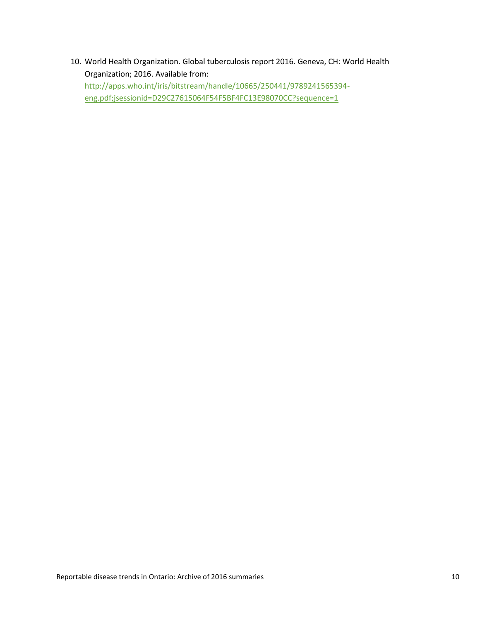10. World Health Organization. Global tuberculosis report 2016. Geneva, CH: World Health Organization; 2016. Available from: [http://apps.who.int/iris/bitstream/handle/10665/250441/9789241565394](http://apps.who.int/iris/bitstream/handle/10665/250441/9789241565394-eng.pdf;jsessionid=D29C27615064F54F5BF4FC13E98070CC?sequence=1) [eng.pdf;jsessionid=D29C27615064F54F5BF4FC13E98070CC?sequence=1](http://apps.who.int/iris/bitstream/handle/10665/250441/9789241565394-eng.pdf;jsessionid=D29C27615064F54F5BF4FC13E98070CC?sequence=1)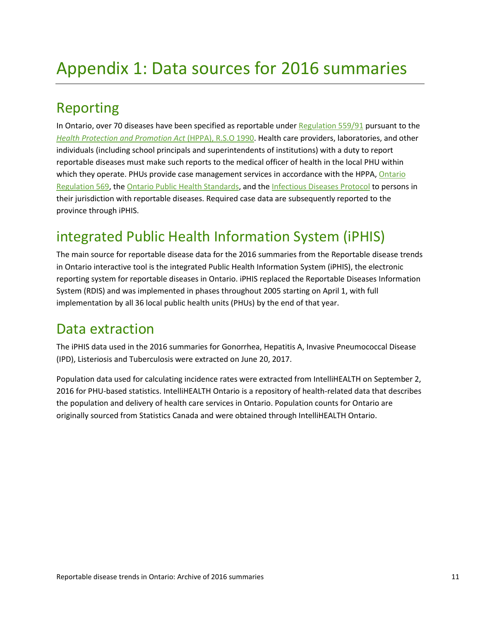# <span id="page-11-0"></span>Appendix 1: Data sources for 2016 summaries

# <span id="page-11-1"></span>*<sup>1</sup>*Reporting

In Ontario, over 70 diseases have been specified as reportable under [Regulation 559/91](http://www.ontario.ca/laws/regulation/910559) pursuant to the *[Health Protection and Promotion Act](http://www.ontario.ca/laws/statute/90h07)* (HPPA), R.S.O 1990. Health care providers, laboratories, and other individuals (including school principals and superintendents of institutions) with a duty to report reportable diseases must make such reports to the medical officer of health in the local PHU within which they operate. PHUs provide case management services in accordance with the HPPA, Ontario [Regulation 569,](http://www.ontario.ca/laws/regulation/900569) the [Ontario Public Health Standards,](http://www.health.gov.on.ca/en/pro/programs/publichealth/oph_standards/infdispro.aspx) and th[e Infectious Diseases Protocol](http://www.health.gov.on.ca/en/pro/programs/publichealth/oph_standards/infdispro.aspx) to persons in their jurisdiction with reportable diseases. Required case data are subsequently reported to the province through iPHIS.

# <span id="page-11-2"></span>integrated Public Health Information System (iPHIS)

The main source for reportable disease data for the 2016 summaries from the Reportable disease trends in Ontario interactive tool is the integrated Public Health Information System (iPHIS), the electronic reporting system for reportable diseases in Ontario. iPHIS replaced the Reportable Diseases Information System (RDIS) and was implemented in phases throughout 2005 starting on April 1, with full implementation by all 36 local public health units (PHUs) by the end of that year.

### <span id="page-11-3"></span>Data extraction

The iPHIS data used in the 2016 summaries for Gonorrhea, Hepatitis A, Invasive Pneumococcal Disease (IPD), Listeriosis and Tuberculosis were extracted on June 20, 2017.

Population data used for calculating incidence rates were extracted from IntelliHEALTH on September 2, 2016 for PHU-based statistics. IntelliHEALTH Ontario is a repository of health-related data that describes the population and delivery of health care services in Ontario. Population counts for Ontario are originally sourced from Statistics Canada and were obtained through IntelliHEALTH Ontario.